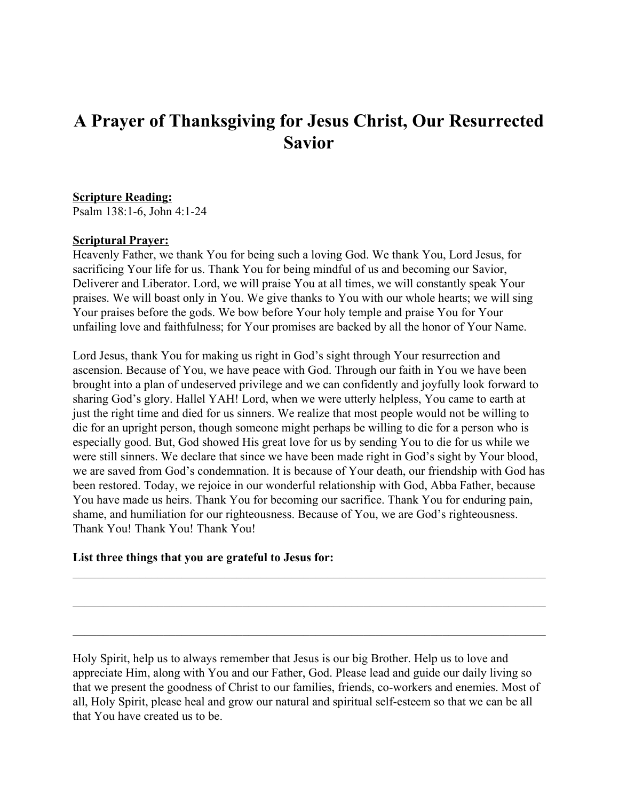## **A Prayer of Thanksgiving for Jesus Christ, Our Resurrected Savior**

## **Scripture Reading:**

Psalm 138:1-6, John 4:1-24

## **Scriptural Prayer:**

Heavenly Father, we thank You for being such a loving God. We thank You, Lord Jesus, for sacrificing Your life for us. Thank You for being mindful of us and becoming our Savior, Deliverer and Liberator. Lord, we will praise You at all times, we will constantly speak Your praises. We will boast only in You. We give thanks to You with our whole hearts; we will sing Your praises before the gods. We bow before Your holy temple and praise You for Your unfailing love and faithfulness; for Your promises are backed by all the honor of Your Name.

Lord Jesus, thank You for making us right in God's sight through Your resurrection and ascension. Because of You, we have peace with God. Through our faith in You we have been brought into a plan of undeserved privilege and we can confidently and joyfully look forward to sharing God's glory. Hallel YAH! Lord, when we were utterly helpless, You came to earth at just the right time and died for us sinners. We realize that most people would not be willing to die for an upright person, though someone might perhaps be willing to die for a person who is especially good. But, God showed His great love for us by sending You to die for us while we were still sinners. We declare that since we have been made right in God's sight by Your blood, we are saved from God's condemnation. It is because of Your death, our friendship with God has been restored. Today, we rejoice in our wonderful relationship with God, Abba Father, because You have made us heirs. Thank You for becoming our sacrifice. Thank You for enduring pain, shame, and humiliation for our righteousness. Because of You, we are God's righteousness. Thank You! Thank You! Thank You!

## **List three things that you are grateful to Jesus for:**

Holy Spirit, help us to always remember that Jesus is our big Brother. Help us to love and appreciate Him, along with You and our Father, God. Please lead and guide our daily living so that we present the goodness of Christ to our families, friends, co-workers and enemies. Most of all, Holy Spirit, please heal and grow our natural and spiritual self-esteem so that we can be all that You have created us to be.

 $\mathcal{L}_\mathcal{L} = \{ \mathcal{L}_\mathcal{L} = \{ \mathcal{L}_\mathcal{L} = \{ \mathcal{L}_\mathcal{L} = \{ \mathcal{L}_\mathcal{L} = \{ \mathcal{L}_\mathcal{L} = \{ \mathcal{L}_\mathcal{L} = \{ \mathcal{L}_\mathcal{L} = \{ \mathcal{L}_\mathcal{L} = \{ \mathcal{L}_\mathcal{L} = \{ \mathcal{L}_\mathcal{L} = \{ \mathcal{L}_\mathcal{L} = \{ \mathcal{L}_\mathcal{L} = \{ \mathcal{L}_\mathcal{L} = \{ \mathcal{L}_\mathcal{$ 

 $\mathcal{L}_\mathcal{L} = \{ \mathcal{L}_\mathcal{L} = \{ \mathcal{L}_\mathcal{L} = \{ \mathcal{L}_\mathcal{L} = \{ \mathcal{L}_\mathcal{L} = \{ \mathcal{L}_\mathcal{L} = \{ \mathcal{L}_\mathcal{L} = \{ \mathcal{L}_\mathcal{L} = \{ \mathcal{L}_\mathcal{L} = \{ \mathcal{L}_\mathcal{L} = \{ \mathcal{L}_\mathcal{L} = \{ \mathcal{L}_\mathcal{L} = \{ \mathcal{L}_\mathcal{L} = \{ \mathcal{L}_\mathcal{L} = \{ \mathcal{L}_\mathcal{$ 

 $\mathcal{L}_\mathcal{L} = \{ \mathcal{L}_\mathcal{L} = \{ \mathcal{L}_\mathcal{L} = \{ \mathcal{L}_\mathcal{L} = \{ \mathcal{L}_\mathcal{L} = \{ \mathcal{L}_\mathcal{L} = \{ \mathcal{L}_\mathcal{L} = \{ \mathcal{L}_\mathcal{L} = \{ \mathcal{L}_\mathcal{L} = \{ \mathcal{L}_\mathcal{L} = \{ \mathcal{L}_\mathcal{L} = \{ \mathcal{L}_\mathcal{L} = \{ \mathcal{L}_\mathcal{L} = \{ \mathcal{L}_\mathcal{L} = \{ \mathcal{L}_\mathcal{$